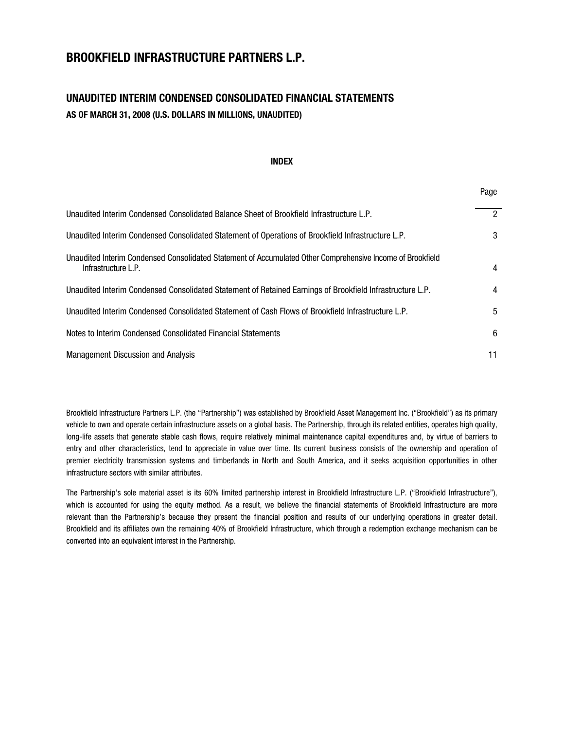# **BROOKFIELD INFRASTRUCTURE PARTNERS L.P.**

# **UNAUDITED INTERIM CONDENSED CONSOLIDATED FINANCIAL STATEMENTS AS OF MARCH 31, 2008 (U.S. DOLLARS IN MILLIONS, UNAUDITED)**

#### **INDEX**

Page

| Unaudited Interim Condensed Consolidated Balance Sheet of Brookfield Infrastructure L.P.                                          | $\overline{2}$ |
|-----------------------------------------------------------------------------------------------------------------------------------|----------------|
| Unaudited Interim Condensed Consolidated Statement of Operations of Brookfield Infrastructure L.P.                                | 3              |
| Unaudited Interim Condensed Consolidated Statement of Accumulated Other Comprehensive Income of Brookfield<br>Infrastructure L.P. | 4              |
| Unaudited Interim Condensed Consolidated Statement of Retained Earnings of Brookfield Infrastructure L.P.                         | 4              |
| Unaudited Interim Condensed Consolidated Statement of Cash Flows of Brookfield Infrastructure L.P.                                | 5              |
| Notes to Interim Condensed Consolidated Financial Statements                                                                      | 6              |
| <b>Management Discussion and Analysis</b>                                                                                         | 11             |

Brookfield Infrastructure Partners L.P. (the "Partnership") was established by Brookfield Asset Management Inc. ("Brookfield") as its primary vehicle to own and operate certain infrastructure assets on a global basis. The Partnership, through its related entities, operates high quality, long-life assets that generate stable cash flows, require relatively minimal maintenance capital expenditures and, by virtue of barriers to entry and other characteristics, tend to appreciate in value over time. Its current business consists of the ownership and operation of premier electricity transmission systems and timberlands in North and South America, and it seeks acquisition opportunities in other infrastructure sectors with similar attributes.

The Partnership's sole material asset is its 60% limited partnership interest in Brookfield Infrastructure L.P. ("Brookfield Infrastructure"), which is accounted for using the equity method. As a result, we believe the financial statements of Brookfield Infrastructure are more relevant than the Partnership's because they present the financial position and results of our underlying operations in greater detail. Brookfield and its affiliates own the remaining 40% of Brookfield Infrastructure, which through a redemption exchange mechanism can be converted into an equivalent interest in the Partnership.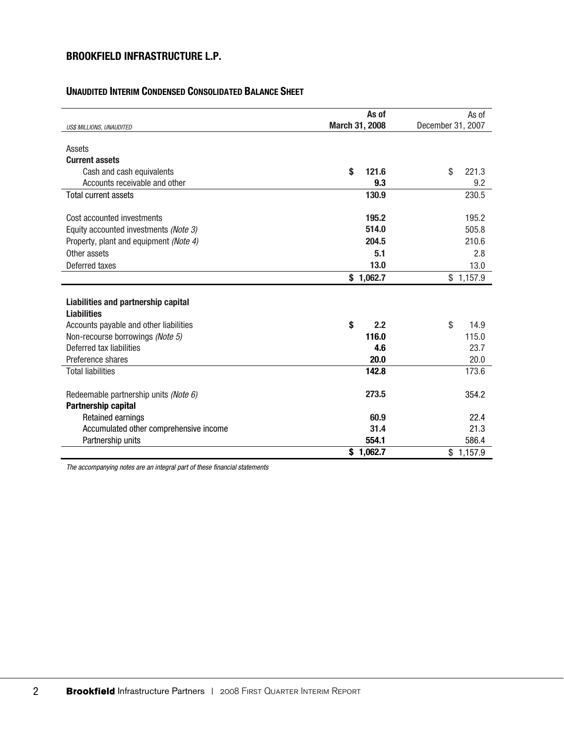# **UNAUDITED INTERIM CONDENSED CONSOLIDATED BALANCE SHEET**

|                                        | As of          | As of             |
|----------------------------------------|----------------|-------------------|
| US\$ MILLIONS, UNAUDITED               | March 31, 2008 | December 31, 2007 |
|                                        |                |                   |
| Assets                                 |                |                   |
| <b>Current assets</b>                  |                |                   |
| Cash and cash equivalents              | \$<br>121.6    | \$<br>221.3       |
| Accounts receivable and other          | 9.3            | 9.2               |
| <b>Total current assets</b>            | 130.9          | 230.5             |
|                                        |                |                   |
| Cost accounted investments             | 195.2          | 195.2             |
| Equity accounted investments (Note 3)  | 514.0          | 505.8             |
| Property, plant and equipment (Note 4) | 204.5          | 210.6             |
| Other assets                           | 5.1            | 2.8               |
| Deferred taxes                         | 13.0           | 13.0              |
|                                        | \$1,062.7      | \$1,157.9         |
|                                        |                |                   |
| Liabilities and partnership capital    |                |                   |
| <b>Liabilities</b>                     |                |                   |
| Accounts payable and other liabilities | \$<br>2.2      | \$<br>14.9        |
| Non-recourse borrowings (Note 5)       | 116.0          | 115.0             |
| Deferred tax liabilities               | 4.6            | 23.7              |
| Preference shares                      | 20.0           | 20.0              |
| <b>Total liabilities</b>               | 142.8          | 173.6             |
|                                        |                |                   |
| Redeemable partnership units (Note 6)  | 273.5          | 354.2             |
| Partnership capital                    |                |                   |
| Retained earnings                      | 60.9           | 22.4              |
| Accumulated other comprehensive income | 31.4           | 21.3              |
| Partnership units                      | 554.1          | 586.4             |
|                                        | \$1,062.7      | \$1,157.9         |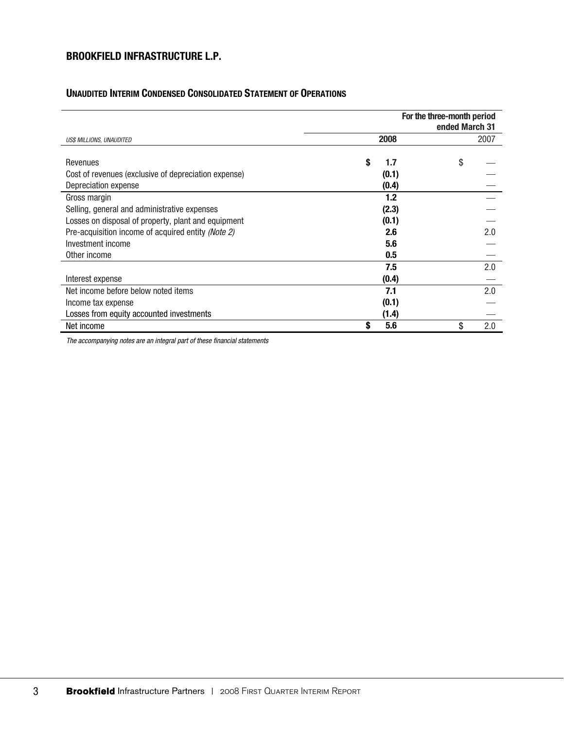# **UNAUDITED INTERIM CONDENSED CONSOLIDATED STATEMENT OF OPERATIONS**

|                                                      | For the three-month period<br>ended March 31 |           |
|------------------------------------------------------|----------------------------------------------|-----------|
| US\$ MILLIONS, UNAUDITED                             | 2008                                         | 2007      |
|                                                      |                                              |           |
| Revenues                                             | S<br>1.7                                     | \$        |
| Cost of revenues (exclusive of depreciation expense) | (0.1)                                        |           |
| Depreciation expense                                 | (0.4)                                        |           |
| Gross margin                                         | 1.2                                          |           |
| Selling, general and administrative expenses         | (2.3)                                        |           |
| Losses on disposal of property, plant and equipment  | (0.1)                                        |           |
| Pre-acquisition income of acquired entity (Note 2)   | 2.6                                          | 2.0       |
| Investment income                                    | 5.6                                          |           |
| Other income                                         | 0.5                                          |           |
|                                                      | 7.5                                          | 2.0       |
| Interest expense                                     | (0.4)                                        |           |
| Net income before below noted items                  | 7.1                                          | 2.0       |
| Income tax expense                                   | (0.1)                                        |           |
| Losses from equity accounted investments             | (1.4)                                        |           |
| Net income                                           | 5.6                                          | \$<br>2.0 |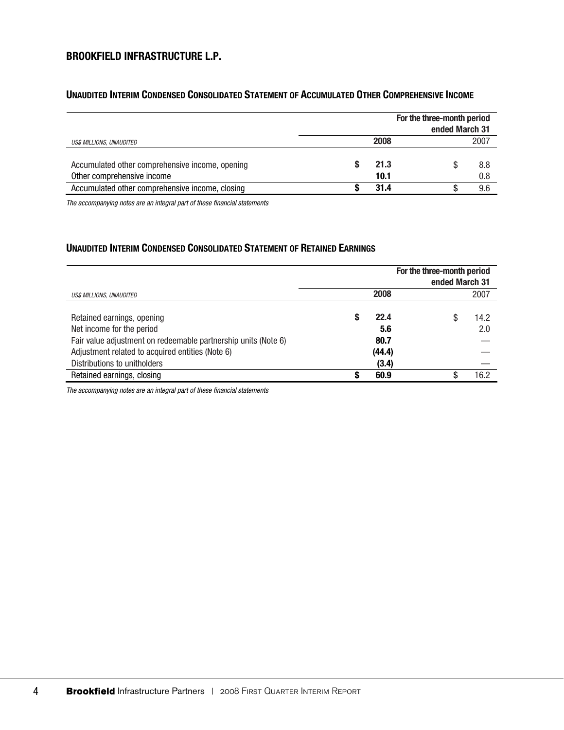## **UNAUDITED INTERIM CONDENSED CONSOLIDATED STATEMENT OF ACCUMULATED OTHER COMPREHENSIVE INCOME**

| For the three-month period                                                    |  |              | ended March 31 |            |
|-------------------------------------------------------------------------------|--|--------------|----------------|------------|
| US\$ MILLIONS, UNAUDITED                                                      |  | 2008         |                | 2007       |
| Accumulated other comprehensive income, opening<br>Other comprehensive income |  | 21.3<br>10.1 |                | 8.8<br>0.8 |
| Accumulated other comprehensive income, closing                               |  | 31.4         |                | 9.6        |

*The accompanying notes are an integral part of these financial statements* 

# **UNAUDITED INTERIM CONDENSED CONSOLIDATED STATEMENT OF RETAINED EARNINGS**

|                                                                                                                                                                               | For the three-month period<br>ended March 31 |                               |                  |
|-------------------------------------------------------------------------------------------------------------------------------------------------------------------------------|----------------------------------------------|-------------------------------|------------------|
| US\$ MILLIONS, UNAUDITED                                                                                                                                                      |                                              | 2008                          | 2007             |
| Retained earnings, opening<br>Net income for the period<br>Fair value adjustment on redeemable partnership units (Note 6)<br>Adjustment related to acquired entities (Note 6) | S                                            | 22.4<br>5.6<br>80.7<br>(44.4) | 14.2<br>S<br>2.0 |
| Distributions to unitholders                                                                                                                                                  |                                              | (3.4)                         |                  |
| Retained earnings, closing                                                                                                                                                    |                                              | 60.9                          | 16.2             |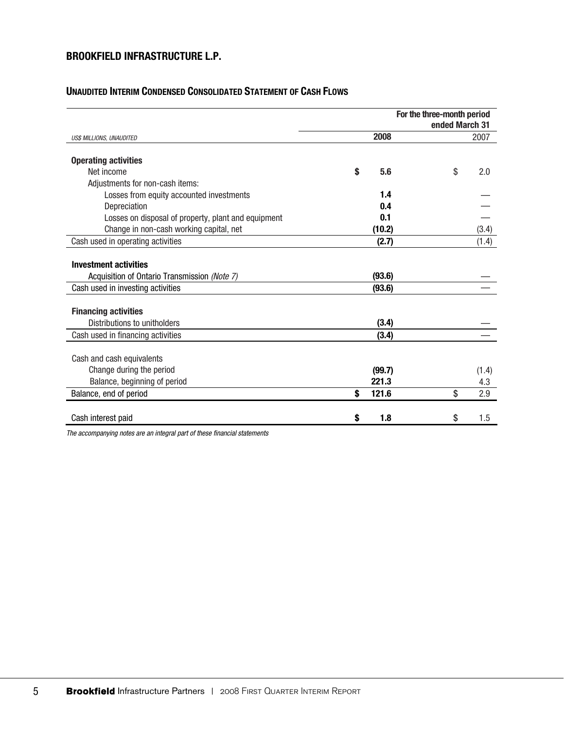## **UNAUDITED INTERIM CONDENSED CONSOLIDATED STATEMENT OF CASH FLOWS**

|                                                                                       |             |        | For the three-month period<br>ended March 31 |              |
|---------------------------------------------------------------------------------------|-------------|--------|----------------------------------------------|--------------|
| US\$ MILLIONS, UNAUDITED                                                              |             | 2008   |                                              | 2007         |
| <b>Operating activities</b>                                                           |             |        |                                              |              |
| Net income                                                                            | \$          | 5.6    | \$                                           | 2.0          |
| Adjustments for non-cash items:                                                       |             |        |                                              |              |
| Losses from equity accounted investments                                              |             | 1.4    |                                              |              |
| Depreciation                                                                          |             | 0.4    |                                              |              |
| Losses on disposal of property, plant and equipment                                   |             | 0.1    |                                              |              |
| Change in non-cash working capital, net                                               |             | (10.2) |                                              | (3.4)        |
| Cash used in operating activities                                                     |             | (2.7)  |                                              | (1.4)        |
| <b>Investment activities</b><br>Acquisition of Ontario Transmission (Note 7)          |             | (93.6) |                                              |              |
| Cash used in investing activities                                                     |             | (93.6) |                                              |              |
| <b>Financing activities</b><br>Distributions to unitholders                           |             | (3.4)  |                                              |              |
| Cash used in financing activities                                                     |             | (3.4)  |                                              |              |
| Cash and cash equivalents<br>Change during the period<br>Balance, beginning of period | 221.3       | (99.7) |                                              | (1.4)<br>4.3 |
| Balance, end of period                                                                | \$<br>121.6 |        | \$                                           | 2.9          |
|                                                                                       |             |        |                                              |              |
| Cash interest paid                                                                    | \$          | 1.8    | \$                                           | 1.5          |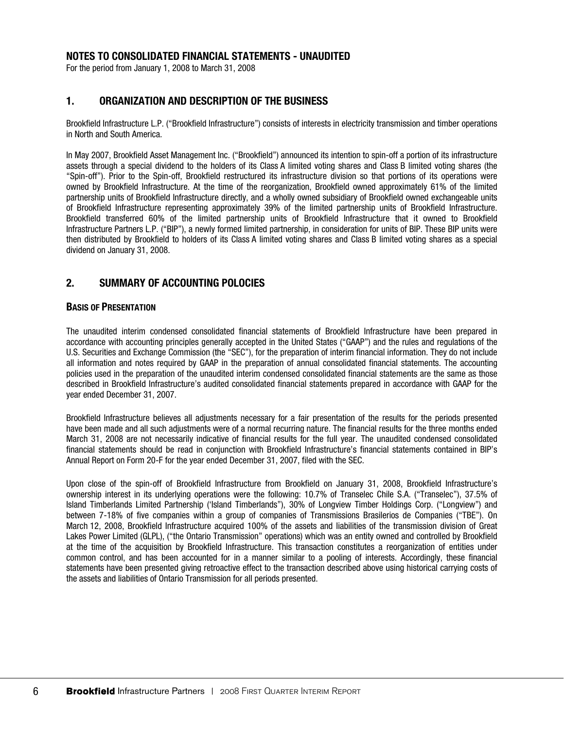### **NOTES TO CONSOLIDATED FINANCIAL STATEMENTS - UNAUDITED**

For the period from January 1, 2008 to March 31, 2008

## **1. ORGANIZATION AND DESCRIPTION OF THE BUSINESS**

Brookfield Infrastructure L.P. ("Brookfield Infrastructure") consists of interests in electricity transmission and timber operations in North and South America.

In May 2007, Brookfield Asset Management Inc. ("Brookfield") announced its intention to spin-off a portion of its infrastructure assets through a special dividend to the holders of its Class A limited voting shares and Class B limited voting shares (the "Spin-off"). Prior to the Spin-off, Brookfield restructured its infrastructure division so that portions of its operations were owned by Brookfield Infrastructure. At the time of the reorganization, Brookfield owned approximately 61% of the limited partnership units of Brookfield Infrastructure directly, and a wholly owned subsidiary of Brookfield owned exchangeable units of Brookfield Infrastructure representing approximately 39% of the limited partnership units of Brookfield Infrastructure. Brookfield transferred 60% of the limited partnership units of Brookfield Infrastructure that it owned to Brookfield Infrastructure Partners L.P. ("BIP"), a newly formed limited partnership, in consideration for units of BIP. These BIP units were then distributed by Brookfield to holders of its Class A limited voting shares and Class B limited voting shares as a special dividend on January 31, 2008.

### **2. SUMMARY OF ACCOUNTING POLOCIES**

#### **BASIS OF PRESENTATION**

The unaudited interim condensed consolidated financial statements of Brookfield Infrastructure have been prepared in accordance with accounting principles generally accepted in the United States ("GAAP") and the rules and regulations of the U.S. Securities and Exchange Commission (the "SEC"), for the preparation of interim financial information. They do not include all information and notes required by GAAP in the preparation of annual consolidated financial statements. The accounting policies used in the preparation of the unaudited interim condensed consolidated financial statements are the same as those described in Brookfield Infrastructure's audited consolidated financial statements prepared in accordance with GAAP for the year ended December 31, 2007.

Brookfield Infrastructure believes all adjustments necessary for a fair presentation of the results for the periods presented have been made and all such adjustments were of a normal recurring nature. The financial results for the three months ended March 31, 2008 are not necessarily indicative of financial results for the full year. The unaudited condensed consolidated financial statements should be read in conjunction with Brookfield Infrastructure's financial statements contained in BIP's Annual Report on Form 20-F for the year ended December 31, 2007, filed with the SEC.

Upon close of the spin-off of Brookfield Infrastructure from Brookfield on January 31, 2008, Brookfield Infrastructure's ownership interest in its underlying operations were the following: 10.7% of Transelec Chile S.A. ("Transelec"), 37.5% of Island Timberlands Limited Partnership ('Island Timberlands"), 30% of Longview Timber Holdings Corp. ("Longview") and between 7-18% of five companies within a group of companies of Transmissions Brasilerios de Companies ("TBE"). On March 12, 2008, Brookfield Infrastructure acquired 100% of the assets and liabilities of the transmission division of Great Lakes Power Limited (GLPL), ("the Ontario Transmission" operations) which was an entity owned and controlled by Brookfield at the time of the acquisition by Brookfield Infrastructure. This transaction constitutes a reorganization of entities under common control, and has been accounted for in a manner similar to a pooling of interests. Accordingly, these financial statements have been presented giving retroactive effect to the transaction described above using historical carrying costs of the assets and liabilities of Ontario Transmission for all periods presented.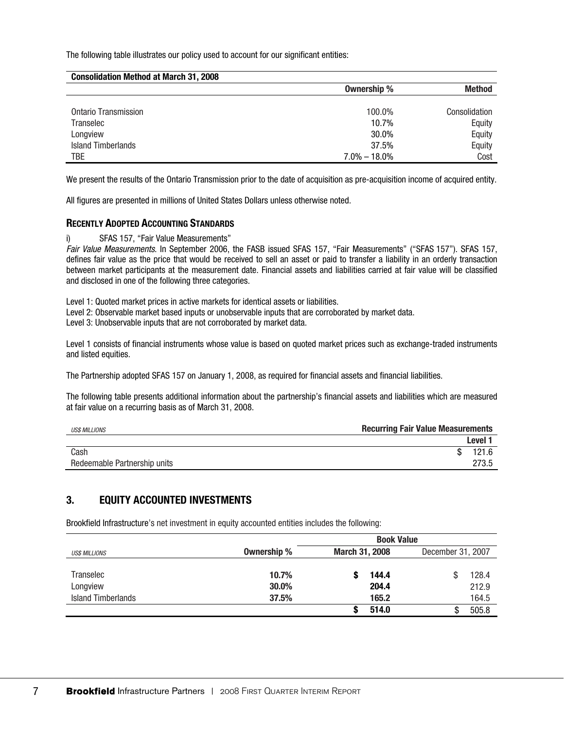The following table illustrates our policy used to account for our significant entities:

| <b>Consolidation Method at March 31, 2008</b> |                  |               |
|-----------------------------------------------|------------------|---------------|
|                                               | Ownership %      | <b>Method</b> |
|                                               |                  |               |
| Ontario Transmission                          | 100.0%           | Consolidation |
| Transelec                                     | 10.7%            | Equity        |
| Longview                                      | 30.0%            | Equity        |
| <b>Island Timberlands</b>                     | 37.5%            | Equity        |
| TBE                                           | $7.0\% - 18.0\%$ | Cost          |

We present the results of the Ontario Transmission prior to the date of acquisition as pre-acquisition income of acquired entity.

All figures are presented in millions of United States Dollars unless otherwise noted.

### **RECENTLY ADOPTED ACCOUNTING STANDARDS**

i) SFAS 157, "Fair Value Measurements"

*Fair Value Measurements*. In September 2006, the FASB issued SFAS 157, "Fair Measurements" ("SFAS 157"). SFAS 157, defines fair value as the price that would be received to sell an asset or paid to transfer a liability in an orderly transaction between market participants at the measurement date. Financial assets and liabilities carried at fair value will be classified and disclosed in one of the following three categories.

Level 1: Quoted market prices in active markets for identical assets or liabilities.

Level 2: Observable market based inputs or unobservable inputs that are corroborated by market data.

Level 3: Unobservable inputs that are not corroborated by market data.

Level 1 consists of financial instruments whose value is based on quoted market prices such as exchange-traded instruments and listed equities.

The Partnership adopted SFAS 157 on January 1, 2008, as required for financial assets and financial liabilities.

The following table presents additional information about the partnership's financial assets and liabilities which are measured at fair value on a recurring basis as of March 31, 2008.

| <b>USS MILLIONS</b>          | <b>Recurring Fair Value Measurements</b> |                    |
|------------------------------|------------------------------------------|--------------------|
|                              |                                          | Level <sup>+</sup> |
| Cash                         |                                          | 121.6              |
| Redeemable Partnership units |                                          | 273.5              |

## **3. EQUITY ACCOUNTED INVESTMENTS**

Brookfield Infrastructure's net investment in equity accounted entities includes the following:

|                           |             | <b>Book Value</b>                          |       |  |       |
|---------------------------|-------------|--------------------------------------------|-------|--|-------|
| <b>US\$ MILLIONS</b>      | Ownership % | <b>March 31, 2008</b><br>December 31, 2007 |       |  |       |
|                           |             |                                            |       |  |       |
| Transelec                 | 10.7%       |                                            | 144.4 |  | 128.4 |
| Longview                  | 30.0%       |                                            | 204.4 |  | 212.9 |
| <b>Island Timberlands</b> | 37.5%       |                                            | 165.2 |  | 164.5 |
|                           |             |                                            | 514.0 |  | 505.8 |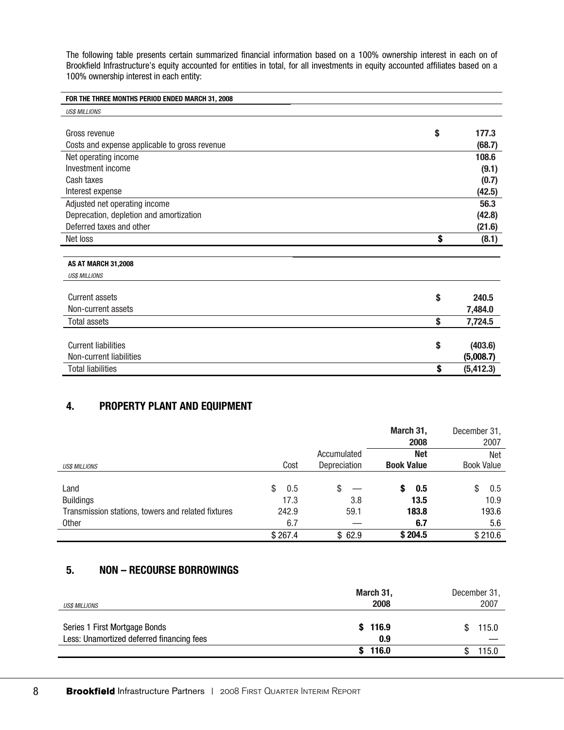The following table presents certain summarized financial information based on a 100% ownership interest in each on of Brookfield Infrastructure's equity accounted for entities in total, for all investments in equity accounted affiliates based on a 100% ownership interest in each entity:

| FOR THE THREE MONTHS PERIOD ENDED MARCH 31, 2008 |                  |
|--------------------------------------------------|------------------|
| <b>USS MILLIONS</b>                              |                  |
|                                                  |                  |
| Gross revenue                                    | \$<br>177.3      |
| Costs and expense applicable to gross revenue    | (68.7)           |
| Net operating income                             | 108.6            |
| Investment income                                | (9.1)            |
| Cash taxes                                       | (0.7)            |
| Interest expense                                 | (42.5)           |
| Adjusted net operating income                    | 56.3             |
| Deprecation, depletion and amortization          | (42.8)           |
| Deferred taxes and other                         | (21.6)           |
| Net loss                                         | \$<br>(8.1)      |
|                                                  |                  |
| <b>AS AT MARCH 31,2008</b>                       |                  |
| <b>USS MILLIONS</b>                              |                  |
|                                                  |                  |
| <b>Current assets</b>                            | \$<br>240.5      |
| Non-current assets                               | 7,484.0          |
| <b>Total assets</b>                              | \$<br>7,724.5    |
|                                                  |                  |
| <b>Current liabilities</b>                       | \$<br>(403.6)    |
| Non-current liabilities                          | (5,008.7)        |
| <b>Total liabilities</b>                         | \$<br>(5, 412.3) |

# **4. PROPERTY PLANT AND EQUIPMENT**

|                                                    |           |              | March 31,<br>2008 | December 31,<br>2007 |
|----------------------------------------------------|-----------|--------------|-------------------|----------------------|
|                                                    |           | Accumulated  | <b>Net</b>        | <b>Net</b>           |
| <b>USS MILLIONS</b>                                | Cost      | Depreciation | <b>Book Value</b> | <b>Book Value</b>    |
|                                                    |           |              |                   |                      |
| Land                                               | \$<br>0.5 | S            | 0.5<br>S          | \$<br>0.5            |
| <b>Buildings</b>                                   | 17.3      | 3.8          | 13.5              | 10.9                 |
| Transmission stations, towers and related fixtures | 242.9     | 59.1         | 183.8             | 193.6                |
| Other                                              | 6.7       |              | 6.7               | 5.6                  |
|                                                    | \$267.4   | \$62.9       | \$204.5           | \$210.6              |

# **5. NON – RECOURSE BORROWINGS**

| <b>US\$ MILLIONS</b>                                                       | March 31,<br>2008 | December 31,<br>2007 |
|----------------------------------------------------------------------------|-------------------|----------------------|
| Series 1 First Mortgage Bonds<br>Less: Unamortized deferred financing fees | \$116.9<br>0.9    | 115.0<br>S           |
|                                                                            | 116.0             | 115.0                |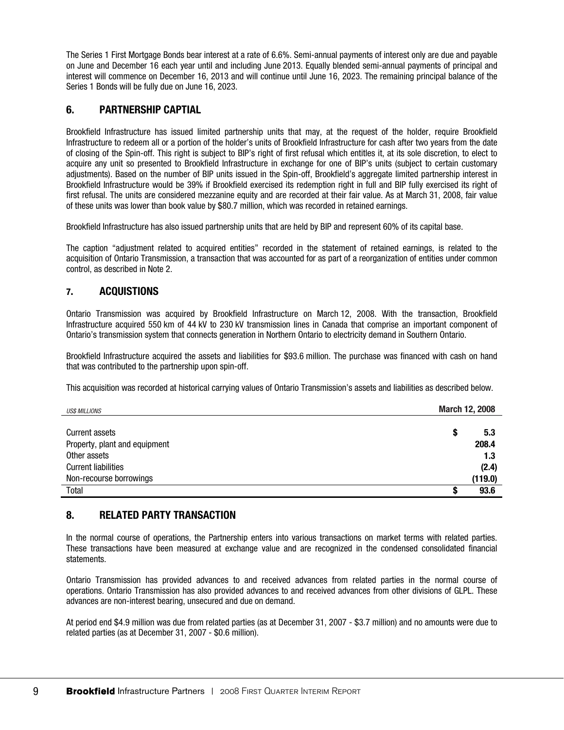The Series 1 First Mortgage Bonds bear interest at a rate of 6.6%. Semi-annual payments of interest only are due and payable on June and December 16 each year until and including June 2013. Equally blended semi-annual payments of principal and interest will commence on December 16, 2013 and will continue until June 16, 2023. The remaining principal balance of the Series 1 Bonds will be fully due on June 16, 2023.

# **6. PARTNERSHIP CAPTIAL**

Brookfield Infrastructure has issued limited partnership units that may, at the request of the holder, require Brookfield Infrastructure to redeem all or a portion of the holder's units of Brookfield Infrastructure for cash after two years from the date of closing of the Spin-off. This right is subject to BIP's right of first refusal which entitles it, at its sole discretion, to elect to acquire any unit so presented to Brookfield Infrastructure in exchange for one of BIP's units (subject to certain customary adjustments). Based on the number of BIP units issued in the Spin-off, Brookfield's aggregate limited partnership interest in Brookfield Infrastructure would be 39% if Brookfield exercised its redemption right in full and BIP fully exercised its right of first refusal. The units are considered mezzanine equity and are recorded at their fair value. As at March 31, 2008, fair value of these units was lower than book value by \$80.7 million, which was recorded in retained earnings.

Brookfield Infrastructure has also issued partnership units that are held by BIP and represent 60% of its capital base.

The caption "adjustment related to acquired entities" recorded in the statement of retained earnings, is related to the acquisition of Ontario Transmission, a transaction that was accounted for as part of a reorganization of entities under common control, as described in Note 2.

## **7. ACQUISTIONS**

Ontario Transmission was acquired by Brookfield Infrastructure on March 12, 2008. With the transaction, Brookfield Infrastructure acquired 550 km of 44 kV to 230 kV transmission lines in Canada that comprise an important component of Ontario's transmission system that connects generation in Northern Ontario to electricity demand in Southern Ontario.

Brookfield Infrastructure acquired the assets and liabilities for \$93.6 million. The purchase was financed with cash on hand that was contributed to the partnership upon spin-off.

This acquisition was recorded at historical carrying values of Ontario Transmission's assets and liabilities as described below.

| <b>US\$ MILLIONS</b>          |   | March 12, 2008 |  |
|-------------------------------|---|----------------|--|
|                               |   |                |  |
| Current assets                | S | 5.3            |  |
| Property, plant and equipment |   | 208.4          |  |
| Other assets                  |   | 1.3            |  |
| <b>Current liabilities</b>    |   | (2.4)          |  |
| Non-recourse borrowings       |   | (119.0)        |  |
| Total                         | œ | 93.6           |  |

## **8. RELATED PARTY TRANSACTION**

In the normal course of operations, the Partnership enters into various transactions on market terms with related parties. These transactions have been measured at exchange value and are recognized in the condensed consolidated financial statements.

Ontario Transmission has provided advances to and received advances from related parties in the normal course of operations. Ontario Transmission has also provided advances to and received advances from other divisions of GLPL. These advances are non-interest bearing, unsecured and due on demand.

At period end \$4.9 million was due from related parties (as at December 31, 2007 - \$3.7 million) and no amounts were due to related parties (as at December 31, 2007 - \$0.6 million).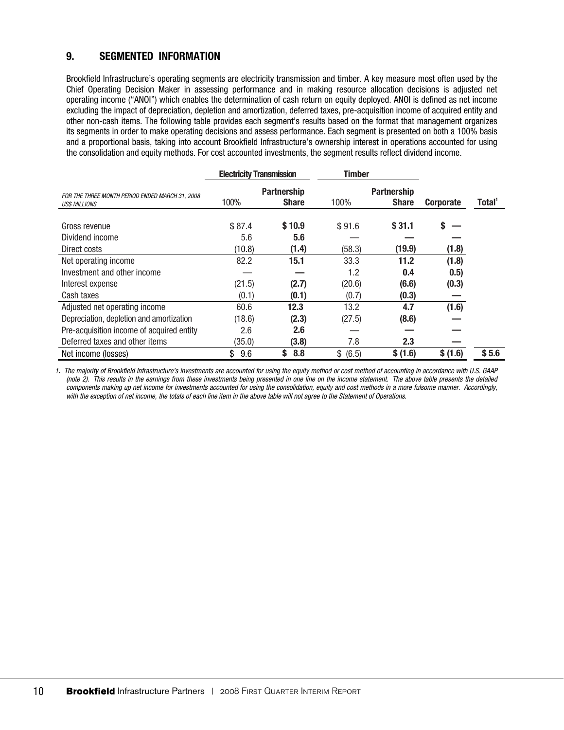# **9. SEGMENTED INFORMATION**

Brookfield Infrastructure's operating segments are electricity transmission and timber. A key measure most often used by the Chief Operating Decision Maker in assessing performance and in making resource allocation decisions is adjusted net operating income ("ANOI") which enables the determination of cash return on equity deployed. ANOI is defined as net income excluding the impact of depreciation, depletion and amortization, deferred taxes, pre-acquisition income of acquired entity and other non-cash items. The following table provides each segment's results based on the format that management organizes its segments in order to make operating decisions and assess performance. Each segment is presented on both a 100% basis and a proportional basis, taking into account Brookfield Infrastructure's ownership interest in operations accounted for using the consolidation and equity methods. For cost accounted investments, the segment results reflect dividend income.

|                                                                        | <b>Electricity Transmission</b> |                             | <b>Timber</b> |                                    |           |        |
|------------------------------------------------------------------------|---------------------------------|-----------------------------|---------------|------------------------------------|-----------|--------|
| FOR THE THREE MONTH PERIOD ENDED MARCH 31, 2008<br><b>USS MILLIONS</b> | 100%                            | Partnership<br><b>Share</b> | 100%          | <b>Partnership</b><br><b>Share</b> | Corporate | Total' |
| Gross revenue<br>Dividend income                                       | \$87.4<br>5.6                   | \$10.9<br>5.6               | \$91.6        | \$31.1                             | \$        |        |
| Direct costs                                                           | (10.8)                          | (1.4)                       | (58.3)        | (19.9)                             | (1.8)     |        |
| Net operating income                                                   | 82.2                            | 15.1                        | 33.3          | 11.2                               | (1.8)     |        |
| Investment and other income                                            |                                 |                             | 1.2           | 0.4                                | 0.5)      |        |
| Interest expense                                                       | (21.5)                          | (2.7)                       | (20.6)        | (6.6)                              | (0.3)     |        |
| Cash taxes                                                             | (0.1)                           | (0.1)                       | (0.7)         | (0.3)                              |           |        |
| Adjusted net operating income                                          | 60.6                            | 12.3                        | 13.2          | 4.7                                | (1.6)     |        |
| Depreciation, depletion and amortization                               | (18.6)                          | (2.3)                       | (27.5)        | (8.6)                              |           |        |
| Pre-acquisition income of acquired entity                              | 2.6                             | 2.6                         |               |                                    |           |        |
| Deferred taxes and other items                                         | (35.0)                          | (3.8)                       | 7.8           | 2.3                                |           |        |
| Net income (losses)                                                    | \$<br>9.6                       | S<br>8.8                    | \$ (6.5)      | \$(1.6)                            | \$ (1.6)  | \$5.6  |

*1. The majority of Brookfield Infrastructure's investments are accounted for using the equity method or cost method of accounting in accordance with U.S. GAAP (note 2). This results in the earnings from these investments being presented in one line on the income statement. The above table presents the detailed components making up net income for investments accounted for using the consolidation, equity and cost methods in a more fulsome manner. Accordingly, with the exception of net income, the totals of each line item in the above table will not agree to the Statement of Operations.*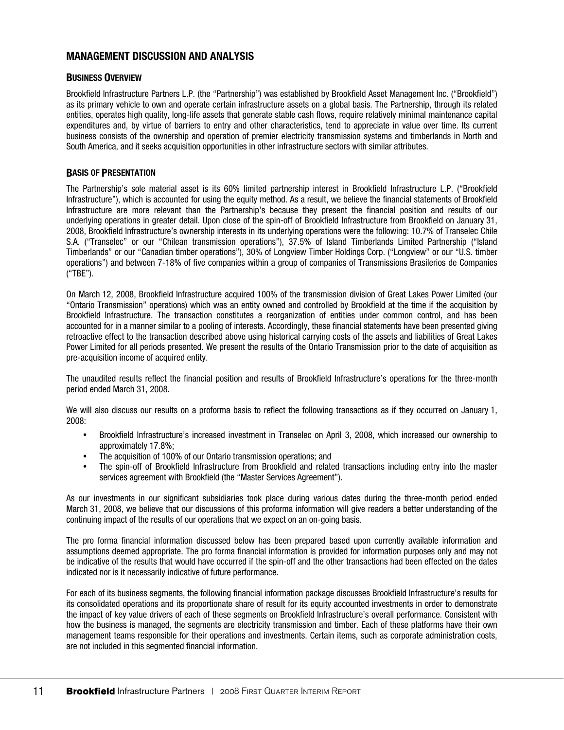## **MANAGEMENT DISCUSSION AND ANALYSIS**

#### **BUSINESS OVERVIEW**

Brookfield Infrastructure Partners L.P. (the "Partnership") was established by Brookfield Asset Management Inc. ("Brookfield") as its primary vehicle to own and operate certain infrastructure assets on a global basis. The Partnership, through its related entities, operates high quality, long-life assets that generate stable cash flows, require relatively minimal maintenance capital expenditures and, by virtue of barriers to entry and other characteristics, tend to appreciate in value over time. Its current business consists of the ownership and operation of premier electricity transmission systems and timberlands in North and South America, and it seeks acquisition opportunities in other infrastructure sectors with similar attributes.

#### **BASIS OF PRESENTATION**

The Partnership's sole material asset is its 60% limited partnership interest in Brookfield Infrastructure L.P. ("Brookfield Infrastructure"), which is accounted for using the equity method. As a result, we believe the financial statements of Brookfield Infrastructure are more relevant than the Partnership's because they present the financial position and results of our underlying operations in greater detail. Upon close of the spin-off of Brookfield Infrastructure from Brookfield on January 31, 2008, Brookfield Infrastructure's ownership interests in its underlying operations were the following: 10.7% of Transelec Chile S.A. ("Transelec" or our "Chilean transmission operations"), 37.5% of Island Timberlands Limited Partnership ("Island Timberlands" or our "Canadian timber operations"), 30% of Longview Timber Holdings Corp. ("Longview" or our "U.S. timber operations") and between 7-18% of five companies within a group of companies of Transmissions Brasilerios de Companies ("TBE").

On March 12, 2008, Brookfield Infrastructure acquired 100% of the transmission division of Great Lakes Power Limited (our "Ontario Transmission" operations) which was an entity owned and controlled by Brookfield at the time if the acquisition by Brookfield Infrastructure. The transaction constitutes a reorganization of entities under common control, and has been accounted for in a manner similar to a pooling of interests. Accordingly, these financial statements have been presented giving retroactive effect to the transaction described above using historical carrying costs of the assets and liabilities of Great Lakes Power Limited for all periods presented. We present the results of the Ontario Transmission prior to the date of acquisition as pre-acquisition income of acquired entity.

The unaudited results reflect the financial position and results of Brookfield Infrastructure's operations for the three-month period ended March 31, 2008.

We will also discuss our results on a proforma basis to reflect the following transactions as if they occurred on January 1, 2008:

- Brookfield Infrastructure's increased investment in Transelec on April 3, 2008, which increased our ownership to approximately 17.8%;
- The acquisition of 100% of our Ontario transmission operations; and
- The spin-off of Brookfield Infrastructure from Brookfield and related transactions including entry into the master services agreement with Brookfield (the "Master Services Agreement").

As our investments in our significant subsidiaries took place during various dates during the three-month period ended March 31, 2008, we believe that our discussions of this proforma information will give readers a better understanding of the continuing impact of the results of our operations that we expect on an on-going basis.

The pro forma financial information discussed below has been prepared based upon currently available information and assumptions deemed appropriate. The pro forma financial information is provided for information purposes only and may not be indicative of the results that would have occurred if the spin-off and the other transactions had been effected on the dates indicated nor is it necessarily indicative of future performance.

For each of its business segments, the following financial information package discusses Brookfield Infrastructure's results for its consolidated operations and its proportionate share of result for its equity accounted investments in order to demonstrate the impact of key value drivers of each of these segments on Brookfield Infrastructure's overall performance. Consistent with how the business is managed, the segments are electricity transmission and timber. Each of these platforms have their own management teams responsible for their operations and investments. Certain items, such as corporate administration costs, are not included in this segmented financial information.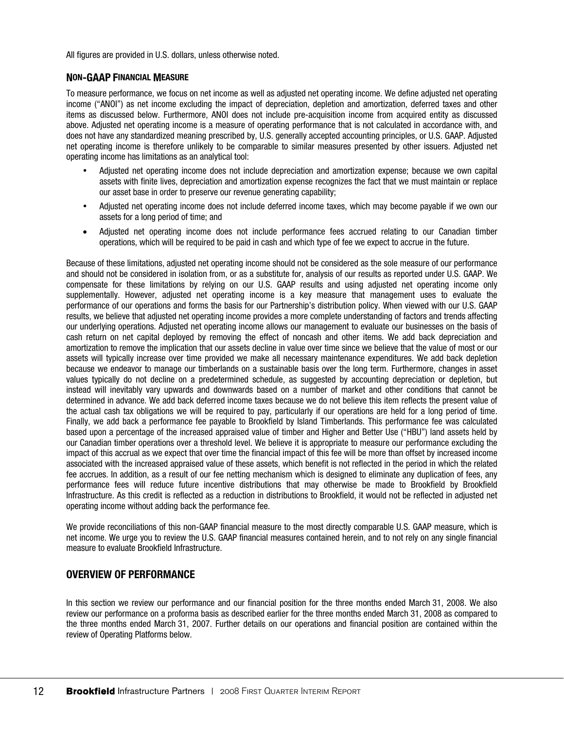All figures are provided in U.S. dollars, unless otherwise noted.

### **NON-GAAP FINANCIAL MEASURE**

To measure performance, we focus on net income as well as adjusted net operating income. We define adjusted net operating income ("ANOI") as net income excluding the impact of depreciation, depletion and amortization, deferred taxes and other items as discussed below. Furthermore, ANOI does not include pre-acquisition income from acquired entity as discussed above. Adjusted net operating income is a measure of operating performance that is not calculated in accordance with, and does not have any standardized meaning prescribed by, U.S. generally accepted accounting principles, or U.S. GAAP. Adjusted net operating income is therefore unlikely to be comparable to similar measures presented by other issuers. Adjusted net operating income has limitations as an analytical tool:

- Adjusted net operating income does not include depreciation and amortization expense; because we own capital assets with finite lives, depreciation and amortization expense recognizes the fact that we must maintain or replace our asset base in order to preserve our revenue generating capability;
- Adjusted net operating income does not include deferred income taxes, which may become payable if we own our assets for a long period of time; and
- Adjusted net operating income does not include performance fees accrued relating to our Canadian timber operations, which will be required to be paid in cash and which type of fee we expect to accrue in the future.

Because of these limitations, adjusted net operating income should not be considered as the sole measure of our performance and should not be considered in isolation from, or as a substitute for, analysis of our results as reported under U.S. GAAP. We compensate for these limitations by relying on our U.S. GAAP results and using adjusted net operating income only supplementally. However, adjusted net operating income is a key measure that management uses to evaluate the performance of our operations and forms the basis for our Partnership's distribution policy. When viewed with our U.S. GAAP results, we believe that adjusted net operating income provides a more complete understanding of factors and trends affecting our underlying operations. Adjusted net operating income allows our management to evaluate our businesses on the basis of cash return on net capital deployed by removing the effect of noncash and other items. We add back depreciation and amortization to remove the implication that our assets decline in value over time since we believe that the value of most or our assets will typically increase over time provided we make all necessary maintenance expenditures. We add back depletion because we endeavor to manage our timberlands on a sustainable basis over the long term. Furthermore, changes in asset values typically do not decline on a predetermined schedule, as suggested by accounting depreciation or depletion, but instead will inevitably vary upwards and downwards based on a number of market and other conditions that cannot be determined in advance. We add back deferred income taxes because we do not believe this item reflects the present value of the actual cash tax obligations we will be required to pay, particularly if our operations are held for a long period of time. Finally, we add back a performance fee payable to Brookfield by Island Timberlands. This performance fee was calculated based upon a percentage of the increased appraised value of timber and Higher and Better Use ("HBU") land assets held by our Canadian timber operations over a threshold level. We believe it is appropriate to measure our performance excluding the impact of this accrual as we expect that over time the financial impact of this fee will be more than offset by increased income associated with the increased appraised value of these assets, which benefit is not reflected in the period in which the related fee accrues. In addition, as a result of our fee netting mechanism which is designed to eliminate any duplication of fees, any performance fees will reduce future incentive distributions that may otherwise be made to Brookfield by Brookfield Infrastructure. As this credit is reflected as a reduction in distributions to Brookfield, it would not be reflected in adjusted net operating income without adding back the performance fee.

We provide reconciliations of this non-GAAP financial measure to the most directly comparable U.S. GAAP measure, which is net income. We urge you to review the U.S. GAAP financial measures contained herein, and to not rely on any single financial measure to evaluate Brookfield Infrastructure.

## **OVERVIEW OF PERFORMANCE**

In this section we review our performance and our financial position for the three months ended March 31, 2008. We also review our performance on a proforma basis as described earlier for the three months ended March 31, 2008 as compared to the three months ended March 31, 2007. Further details on our operations and financial position are contained within the review of Operating Platforms below.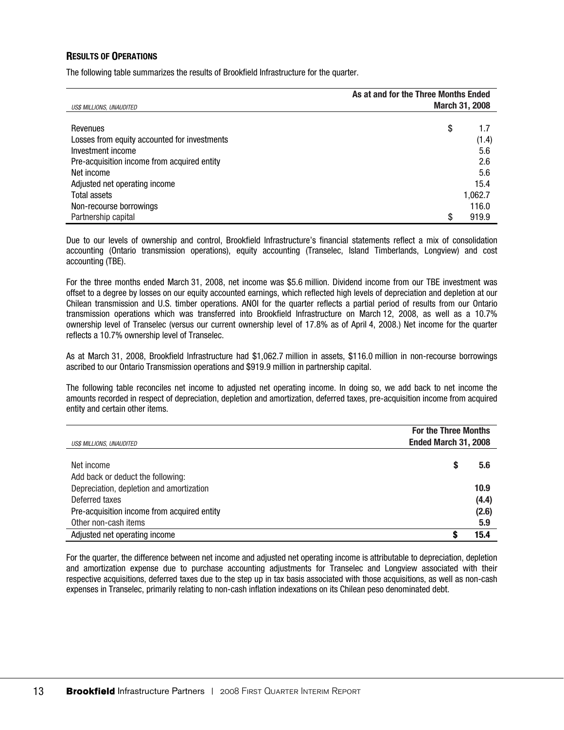### **RESULTS OF OPERATIONS**

The following table summarizes the results of Brookfield Infrastructure for the quarter.

|                                              | As at and for the Three Months Ended |                       |
|----------------------------------------------|--------------------------------------|-----------------------|
| US\$ MILLIONS, UNAUDITED                     |                                      | <b>March 31, 2008</b> |
|                                              |                                      |                       |
| Revenues                                     | \$                                   | 1.7                   |
| Losses from equity accounted for investments |                                      | (1.4)                 |
| Investment income                            |                                      | 5.6                   |
| Pre-acquisition income from acquired entity  |                                      | 2.6                   |
| Net income                                   |                                      | 5.6                   |
| Adjusted net operating income                |                                      | 15.4                  |
| <b>Total assets</b>                          |                                      | 1,062.7               |
| Non-recourse borrowings                      |                                      | 116.0                 |
| Partnership capital                          | \$                                   | 919.9                 |

Due to our levels of ownership and control, Brookfield Infrastructure's financial statements reflect a mix of consolidation accounting (Ontario transmission operations), equity accounting (Transelec, Island Timberlands, Longview) and cost accounting (TBE).

For the three months ended March 31, 2008, net income was \$5.6 million. Dividend income from our TBE investment was offset to a degree by losses on our equity accounted earnings, which reflected high levels of depreciation and depletion at our Chilean transmission and U.S. timber operations. ANOI for the quarter reflects a partial period of results from our Ontario transmission operations which was transferred into Brookfield Infrastructure on March 12, 2008, as well as a 10.7% ownership level of Transelec (versus our current ownership level of 17.8% as of April 4, 2008.) Net income for the quarter reflects a 10.7% ownership level of Transelec.

As at March 31, 2008, Brookfield Infrastructure had \$1,062.7 million in assets, \$116.0 million in non-recourse borrowings ascribed to our Ontario Transmission operations and \$919.9 million in partnership capital.

The following table reconciles net income to adjusted net operating income. In doing so, we add back to net income the amounts recorded in respect of depreciation, depletion and amortization, deferred taxes, pre-acquisition income from acquired entity and certain other items.

| US\$ MILLIONS, UNAUDITED                    | <b>For the Three Months</b><br>Ended March 31, 2008 |       |
|---------------------------------------------|-----------------------------------------------------|-------|
|                                             |                                                     |       |
| Net income                                  |                                                     | 5.6   |
| Add back or deduct the following:           |                                                     |       |
| Depreciation, depletion and amortization    |                                                     | 10.9  |
| Deferred taxes                              |                                                     | (4.4) |
| Pre-acquisition income from acquired entity |                                                     | (2.6) |
| Other non-cash items                        |                                                     | 5.9   |
| Adjusted net operating income               |                                                     | 15.4  |

For the quarter, the difference between net income and adjusted net operating income is attributable to depreciation, depletion and amortization expense due to purchase accounting adjustments for Transelec and Longview associated with their respective acquisitions, deferred taxes due to the step up in tax basis associated with those acquisitions, as well as non-cash expenses in Transelec, primarily relating to non-cash inflation indexations on its Chilean peso denominated debt.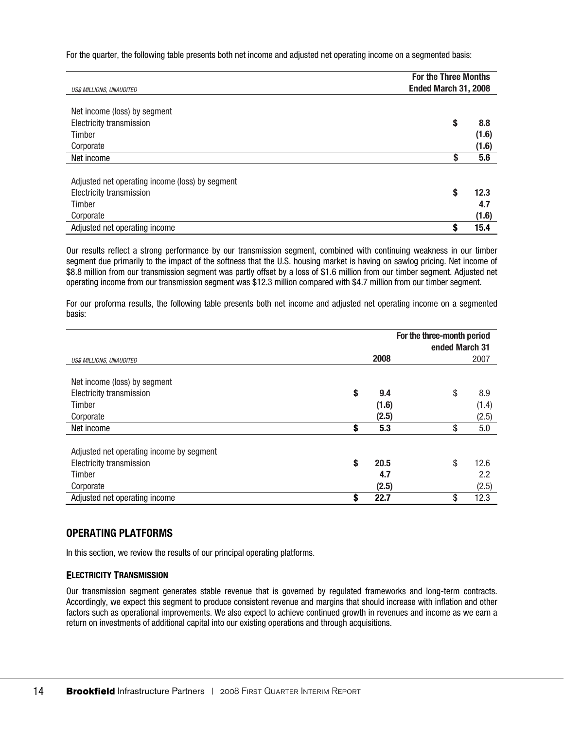For the quarter, the following table presents both net income and adjusted net operating income on a segmented basis:

| US\$ MILLIONS, UNAUDITED                                                           |    | <b>For the Three Months</b><br>Ended March 31, 2008 |  |  |
|------------------------------------------------------------------------------------|----|-----------------------------------------------------|--|--|
| Net income (loss) by segment                                                       |    |                                                     |  |  |
| <b>Electricity transmission</b>                                                    | \$ | 8.8                                                 |  |  |
| Timber                                                                             |    | (1.6)                                               |  |  |
| Corporate                                                                          |    | (1.6)                                               |  |  |
| Net income                                                                         | S  | 5.6                                                 |  |  |
| Adjusted net operating income (loss) by segment<br><b>Electricity transmission</b> | S  | 12.3                                                |  |  |
| Timber                                                                             |    | 4.7                                                 |  |  |
| Corporate                                                                          |    | (1.6)                                               |  |  |
| Adjusted net operating income                                                      | S  | 15.4                                                |  |  |

Our results reflect a strong performance by our transmission segment, combined with continuing weakness in our timber segment due primarily to the impact of the softness that the U.S. housing market is having on sawlog pricing. Net income of \$8.8 million from our transmission segment was partly offset by a loss of \$1.6 million from our timber segment. Adjusted net operating income from our transmission segment was \$12.3 million compared with \$4.7 million from our timber segment.

For our proforma results, the following table presents both net income and adjusted net operating income on a segmented basis:

|                                          | For the three-month period |       |                |       |
|------------------------------------------|----------------------------|-------|----------------|-------|
|                                          |                            |       | ended March 31 |       |
| US\$ MILLIONS, UNAUDITED                 |                            | 2008  |                | 2007  |
|                                          |                            |       |                |       |
| Net income (loss) by segment             |                            |       |                |       |
| <b>Electricity transmission</b>          | \$                         | 9.4   | \$             | 8.9   |
| Timber                                   |                            | (1.6) |                | (1.4) |
| Corporate                                |                            | (2.5) |                | (2.5) |
| Net income                               | \$                         | 5.3   | \$             | 5.0   |
|                                          |                            |       |                |       |
| Adjusted net operating income by segment |                            |       |                |       |
| <b>Electricity transmission</b>          | \$                         | 20.5  | \$             | 12.6  |
| Timber                                   |                            | 4.7   |                | 2.2   |
| Corporate                                |                            | (2.5) |                | (2.5) |
| Adjusted net operating income            | \$                         | 22.7  | \$             | 12.3  |

## **OPERATING PLATFORMS**

In this section, we review the results of our principal operating platforms.

### **ELECTRICITY TRANSMISSION**

Our transmission segment generates stable revenue that is governed by regulated frameworks and long-term contracts. Accordingly, we expect this segment to produce consistent revenue and margins that should increase with inflation and other factors such as operational improvements. We also expect to achieve continued growth in revenues and income as we earn a return on investments of additional capital into our existing operations and through acquisitions.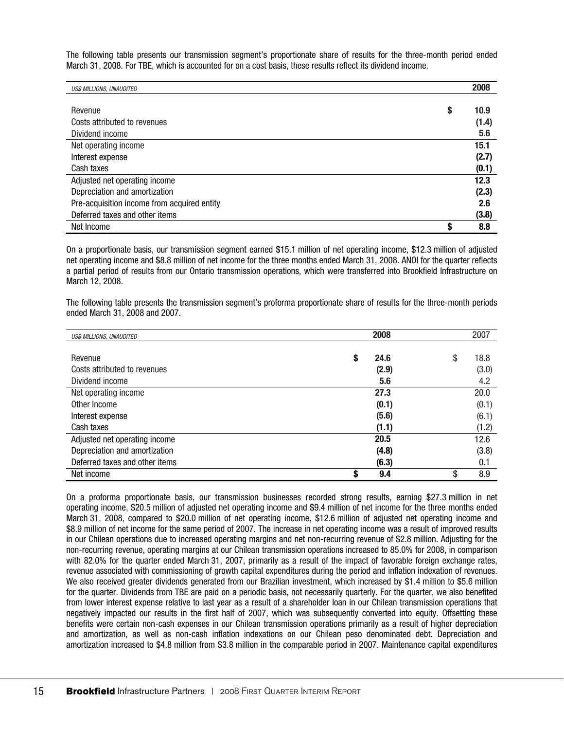The following table presents our transmission segment's proportionate share of results for the three-month period ended March 31, 2008. For TBE, which is accounted for on a cost basis, these results reflect its dividend income.

| US\$ MILLIONS, UNAUDITED                    |    | 2008  |
|---------------------------------------------|----|-------|
|                                             |    |       |
| Revenue                                     | \$ | 10.9  |
| Costs attributed to revenues                |    | (1.4) |
| Dividend income                             |    | 5.6   |
| Net operating income                        |    | 15.1  |
| Interest expense                            |    | (2.7) |
| Cash taxes                                  |    | (0.1) |
| Adjusted net operating income               |    | 12.3  |
| Depreciation and amortization               |    | (2.3) |
| Pre-acquisition income from acquired entity |    | 2.6   |
| Deferred taxes and other items              |    | (3.8) |
| Net Income                                  | S  | 8.8   |

On a proportionate basis, our transmission segment earned \$15.1 million of net operating income, \$12.3 million of adjusted net operating income and \$8.8 million of net income for the three months ended March 31, 2008. ANOI for the quarter reflects a partial period of results from our Ontario transmission operations, which were transferred into Brookfield Infrastructure on March 12, 2008.

The following table presents the transmission segment's proforma proportionate share of results for the three-month periods ended March 31, 2008 and 2007.

| US\$ MILLIONS, UNAUDITED       | 2008       | 2007       |
|--------------------------------|------------|------------|
|                                |            |            |
| Revenue                        | \$<br>24.6 | \$<br>18.8 |
| Costs attributed to revenues   | (2.9)      | (3.0)      |
| Dividend income                | 5.6        | 4.2        |
| Net operating income           | 27.3       | 20.0       |
| Other Income                   | (0.1)      | (0.1)      |
| Interest expense               | (5.6)      | (6.1)      |
| Cash taxes                     | (1.1)      | (1.2)      |
| Adjusted net operating income  | 20.5       | 12.6       |
| Depreciation and amortization  | (4.8)      | (3.8)      |
| Deferred taxes and other items | (6.3)      | 0.1        |
| Net income                     | 9.4        | 8.9<br>S   |

On a proforma proportionate basis, our transmission businesses recorded strong results, earning \$27.3 million in net operating income, \$20.5 million of adjusted net operating income and \$9.4 million of net income for the three months ended March 31, 2008, compared to \$20.0 million of net operating income, \$12.6 million of adjusted net operating income and \$8.9 million of net income for the same period of 2007. The increase in net operating income was a result of improved results in our Chilean operations due to increased operating margins and net non-recurring revenue of \$2.8 million. Adjusting for the non-recurring revenue, operating margins at our Chilean transmission operations increased to 85.0% for 2008, in comparison with 82.0% for the quarter ended March 31, 2007, primarily as a result of the impact of favorable foreign exchange rates, revenue associated with commissioning of growth capital expenditures during the period and inflation indexation of revenues. We also received greater dividends generated from our Brazilian investment, which increased by \$1.4 million to \$5.6 million for the quarter. Dividends from TBE are paid on a periodic basis, not necessarily quarterly. For the quarter, we also benefited from lower interest expense relative to last year as a result of a shareholder loan in our Chilean transmission operations that negatively impacted our results in the first half of 2007, which was subsequently converted into equity. Offsetting these benefits were certain non-cash expenses in our Chilean transmission operations primarily as a result of higher depreciation and amortization, as well as non-cash inflation indexations on our Chilean peso denominated debt. Depreciation and amortization increased to \$4.8 million from \$3.8 million in the comparable period in 2007. Maintenance capital expenditures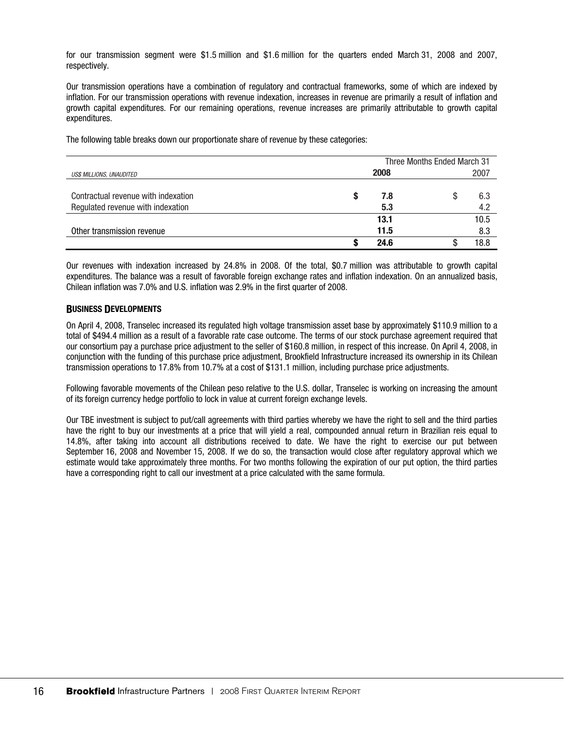for our transmission segment were \$1.5 million and \$1.6 million for the quarters ended March 31, 2008 and 2007, respectively.

Our transmission operations have a combination of regulatory and contractual frameworks, some of which are indexed by inflation. For our transmission operations with revenue indexation, increases in revenue are primarily a result of inflation and growth capital expenditures. For our remaining operations, revenue increases are primarily attributable to growth capital expenditures.

The following table breaks down our proportionate share of revenue by these categories:

|                                                                          | Three Months Ended March 31 |                 |  |
|--------------------------------------------------------------------------|-----------------------------|-----------------|--|
| US\$ MILLIONS, UNAUDITED                                                 | 2008                        | 2007            |  |
| Contractual revenue with indexation<br>Regulated revenue with indexation | 7.8<br>5.3                  | 6.3<br>S<br>4.2 |  |
|                                                                          | 13.1                        | 10.5            |  |
| Other transmission revenue                                               | 11.5                        | 8.3             |  |
|                                                                          | 24.6                        | 18.8            |  |

Our revenues with indexation increased by 24.8% in 2008. Of the total, \$0.7 million was attributable to growth capital expenditures. The balance was a result of favorable foreign exchange rates and inflation indexation. On an annualized basis, Chilean inflation was 7.0% and U.S. inflation was 2.9% in the first quarter of 2008.

### **BUSINESS DEVELOPMENTS**

On April 4, 2008, Transelec increased its regulated high voltage transmission asset base by approximately \$110.9 million to a total of \$494.4 million as a result of a favorable rate case outcome. The terms of our stock purchase agreement required that our consortium pay a purchase price adjustment to the seller of \$160.8 million, in respect of this increase. On April 4, 2008, in conjunction with the funding of this purchase price adjustment, Brookfield Infrastructure increased its ownership in its Chilean transmission operations to 17.8% from 10.7% at a cost of \$131.1 million, including purchase price adjustments.

Following favorable movements of the Chilean peso relative to the U.S. dollar, Transelec is working on increasing the amount of its foreign currency hedge portfolio to lock in value at current foreign exchange levels.

Our TBE investment is subject to put/call agreements with third parties whereby we have the right to sell and the third parties have the right to buy our investments at a price that will yield a real, compounded annual return in Brazilian reis equal to 14.8%, after taking into account all distributions received to date. We have the right to exercise our put between September 16, 2008 and November 15, 2008. If we do so, the transaction would close after regulatory approval which we estimate would take approximately three months. For two months following the expiration of our put option, the third parties have a corresponding right to call our investment at a price calculated with the same formula.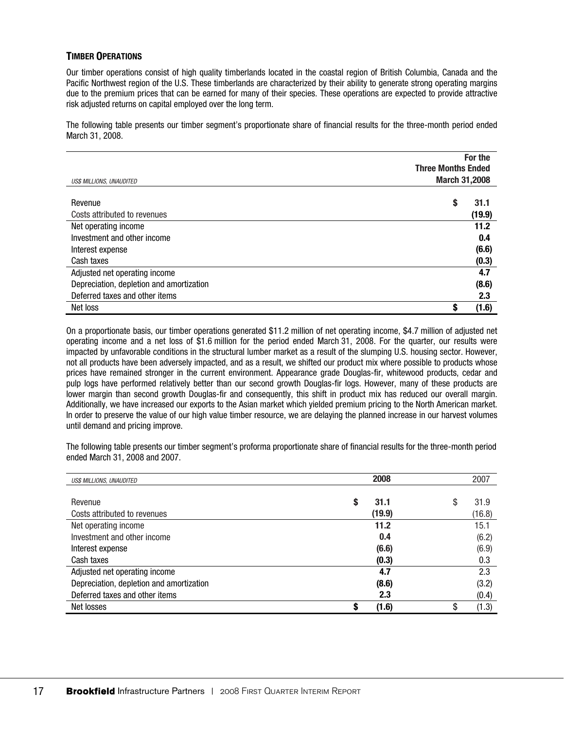### **TIMBER OPERATIONS**

Our timber operations consist of high quality timberlands located in the coastal region of British Columbia, Canada and the Pacific Northwest region of the U.S. These timberlands are characterized by their ability to generate strong operating margins due to the premium prices that can be earned for many of their species. These operations are expected to provide attractive risk adjusted returns on capital employed over the long term.

The following table presents our timber segment's proportionate share of financial results for the three-month period ended March 31, 2008.

|                                          | For the<br><b>Three Months Ended</b> |        |
|------------------------------------------|--------------------------------------|--------|
| US\$ MILLIONS, UNAUDITED                 | <b>March 31,2008</b>                 |        |
| Revenue                                  | S                                    | 31.1   |
| Costs attributed to revenues             |                                      | (19.9) |
| Net operating income                     |                                      | 11.2   |
| Investment and other income              |                                      | 0.4    |
| Interest expense                         |                                      | (6.6)  |
| Cash taxes                               |                                      | (0.3)  |
| Adjusted net operating income            |                                      | 4.7    |
| Depreciation, depletion and amortization |                                      | (8.6)  |
| Deferred taxes and other items           |                                      | 2.3    |
| Net loss                                 |                                      | (1.6)  |

On a proportionate basis, our timber operations generated \$11.2 million of net operating income, \$4.7 million of adjusted net operating income and a net loss of \$1.6 million for the period ended March 31, 2008. For the quarter, our results were impacted by unfavorable conditions in the structural lumber market as a result of the slumping U.S. housing sector. However, not all products have been adversely impacted, and as a result, we shifted our product mix where possible to products whose prices have remained stronger in the current environment. Appearance grade Douglas-fir, whitewood products, cedar and pulp logs have performed relatively better than our second growth Douglas-fir logs. However, many of these products are lower margin than second growth Douglas-fir and consequently, this shift in product mix has reduced our overall margin. Additionally, we have increased our exports to the Asian market which yielded premium pricing to the North American market. In order to preserve the value of our high value timber resource, we are delaying the planned increase in our harvest volumes until demand and pricing improve.

The following table presents our timber segment's proforma proportionate share of financial results for the three-month period ended March 31, 2008 and 2007.

| <b>US\$ MILLIONS, UNAUDITED</b>          | 2008      | 2007      |
|------------------------------------------|-----------|-----------|
|                                          |           |           |
| Revenue                                  | 31.1<br>S | S<br>31.9 |
| Costs attributed to revenues             | (19.9)    | (16.8)    |
| Net operating income                     | 11.2      | 15.1      |
| Investment and other income              | 0.4       | (6.2)     |
| Interest expense                         | (6.6)     | (6.9)     |
| Cash taxes                               | (0.3)     | 0.3       |
| Adjusted net operating income            | 4.7       | 2.3       |
| Depreciation, depletion and amortization | (8.6)     | (3.2)     |
| Deferred taxes and other items           | 2.3       | (0.4)     |
| Net losses                               | (1.6)     | (1.3)     |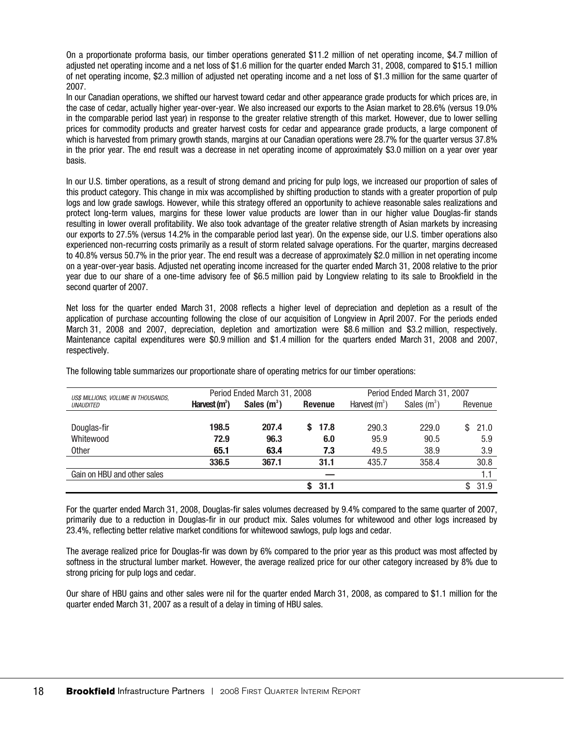On a proportionate proforma basis, our timber operations generated \$11.2 million of net operating income, \$4.7 million of adjusted net operating income and a net loss of \$1.6 million for the quarter ended March 31, 2008, compared to \$15.1 million of net operating income, \$2.3 million of adjusted net operating income and a net loss of \$1.3 million for the same quarter of 2007.

In our Canadian operations, we shifted our harvest toward cedar and other appearance grade products for which prices are, in the case of cedar, actually higher year-over-year. We also increased our exports to the Asian market to 28.6% (versus 19.0% in the comparable period last year) in response to the greater relative strength of this market. However, due to lower selling prices for commodity products and greater harvest costs for cedar and appearance grade products, a large component of which is harvested from primary growth stands, margins at our Canadian operations were 28.7% for the quarter versus 37.8% in the prior year. The end result was a decrease in net operating income of approximately \$3.0 million on a year over year basis.

In our U.S. timber operations, as a result of strong demand and pricing for pulp logs, we increased our proportion of sales of this product category. This change in mix was accomplished by shifting production to stands with a greater proportion of pulp logs and low grade sawlogs. However, while this strategy offered an opportunity to achieve reasonable sales realizations and protect long-term values, margins for these lower value products are lower than in our higher value Douglas-fir stands resulting in lower overall profitability. We also took advantage of the greater relative strength of Asian markets by increasing our exports to 27.5% (versus 14.2% in the comparable period last year). On the expense side, our U.S. timber operations also experienced non-recurring costs primarily as a result of storm related salvage operations. For the quarter, margins decreased to 40.8% versus 50.7% in the prior year. The end result was a decrease of approximately \$2.0 million in net operating income on a year-over-year basis. Adjusted net operating income increased for the quarter ended March 31, 2008 relative to the prior year due to our share of a one-time advisory fee of \$6.5 million paid by Longview relating to its sale to Brookfield in the second quarter of 2007.

Net loss for the quarter ended March 31, 2008 reflects a higher level of depreciation and depletion as a result of the application of purchase accounting following the close of our acquisition of Longview in April 2007. For the periods ended March 31, 2008 and 2007, depreciation, depletion and amortization were \$8.6 million and \$3.2 million, respectively. Maintenance capital expenditures were \$0.9 million and \$1.4 million for the quarters ended March 31, 2008 and 2007, respectively.

| US\$ MILLIONS, VOLUME IN THOUSANDS, | Period Ended March 31, 2008 |               | Period Ended March 31, 2007 |                 |               |           |
|-------------------------------------|-----------------------------|---------------|-----------------------------|-----------------|---------------|-----------|
| <b>UNAUDITED</b>                    | Harvest $(m^3)$             | Sales $(m^3)$ | <b>Revenue</b>              | Harvest $(m^3)$ | Sales $(m^3)$ | Revenue   |
|                                     |                             |               |                             |                 |               |           |
| Douglas-fir                         | 198.5                       | 207.4         | 17.8                        | 290.3           | 229.0         | 21.0<br>S |
| Whitewood                           | 72.9                        | 96.3          | 6.0                         | 95.9            | 90.5          | 5.9       |
| <b>Other</b>                        | 65.1                        | 63.4          | 7.3                         | 49.5            | 38.9          | 3.9       |
|                                     | 336.5                       | 367.1         | 31.1                        | 435.7           | 358.4         | 30.8      |
| Gain on HBU and other sales         |                             |               |                             |                 |               |           |
|                                     |                             |               | 31.1                        |                 |               | 31.9<br>S |

The following table summarizes our proportionate share of operating metrics for our timber operations:

For the quarter ended March 31, 2008, Douglas-fir sales volumes decreased by 9.4% compared to the same quarter of 2007, primarily due to a reduction in Douglas-fir in our product mix. Sales volumes for whitewood and other logs increased by 23.4%, reflecting better relative market conditions for whitewood sawlogs, pulp logs and cedar.

The average realized price for Douglas-fir was down by 6% compared to the prior year as this product was most affected by softness in the structural lumber market. However, the average realized price for our other category increased by 8% due to strong pricing for pulp logs and cedar.

Our share of HBU gains and other sales were nil for the quarter ended March 31, 2008, as compared to \$1.1 million for the quarter ended March 31, 2007 as a result of a delay in timing of HBU sales.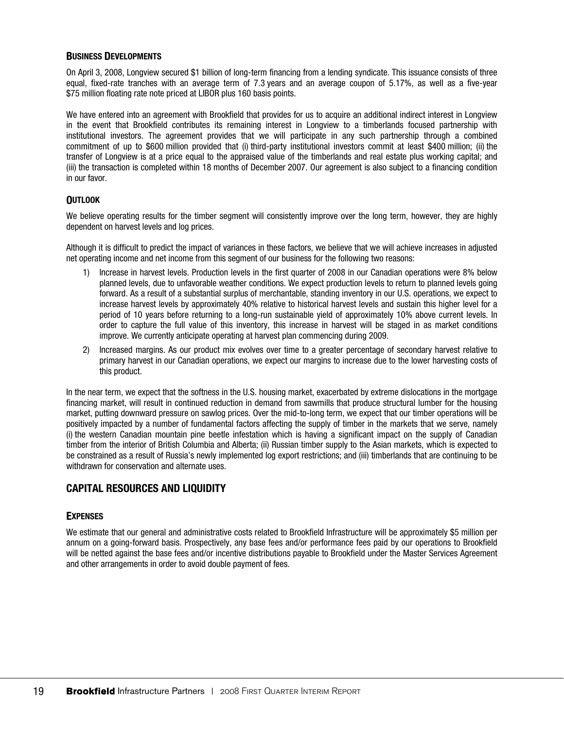### **BUSINESS DEVELOPMENTS**

On April 3, 2008, Longview secured \$1 billion of long-term financing from a lending syndicate. This issuance consists of three equal, fixed-rate tranches with an average term of 7.3 years and an average coupon of 5.17%, as well as a five-year \$75 million floating rate note priced at LIBOR plus 160 basis points.

We have entered into an agreement with Brookfield that provides for us to acquire an additional indirect interest in Longview in the event that Brookfield contributes its remaining interest in Longview to a timberlands focused partnership with institutional investors. The agreement provides that we will participate in any such partnership through a combined commitment of up to \$600 million provided that (i) third-party institutional investors commit at least \$400 million; (ii) the transfer of Longview is at a price equal to the appraised value of the timberlands and real estate plus working capital; and (iii) the transaction is completed within 18 months of December 2007. Our agreement is also subject to a financing condition in our favor.

### **OUTLOOK**

We believe operating results for the timber segment will consistently improve over the long term, however, they are highly dependent on harvest levels and log prices.

Although it is difficult to predict the impact of variances in these factors, we believe that we will achieve increases in adjusted net operating income and net income from this segment of our business for the following two reasons:

- 1) Increase in harvest levels. Production levels in the first quarter of 2008 in our Canadian operations were 8% below planned levels, due to unfavorable weather conditions. We expect production levels to return to planned levels going forward. As a result of a substantial surplus of merchantable, standing inventory in our U.S. operations, we expect to increase harvest levels by approximately 40% relative to historical harvest levels and sustain this higher level for a period of 10 years before returning to a long-run sustainable yield of approximately 10% above current levels. In order to capture the full value of this inventory, this increase in harvest will be staged in as market conditions improve. We currently anticipate operating at harvest plan commencing during 2009.
- 2) Increased margins. As our product mix evolves over time to a greater percentage of secondary harvest relative to primary harvest in our Canadian operations, we expect our margins to increase due to the lower harvesting costs of this product.

In the near term, we expect that the softness in the U.S. housing market, exacerbated by extreme dislocations in the mortgage financing market, will result in continued reduction in demand from sawmills that produce structural lumber for the housing market, putting downward pressure on sawlog prices. Over the mid-to-long term, we expect that our timber operations will be positively impacted by a number of fundamental factors affecting the supply of timber in the markets that we serve, namely (i) the western Canadian mountain pine beetle infestation which is having a significant impact on the supply of Canadian timber from the interior of British Columbia and Alberta; (ii) Russian timber supply to the Asian markets, which is expected to be constrained as a result of Russia's newly implemented log export restrictions; and (iii) timberlands that are continuing to be withdrawn for conservation and alternate uses.

# **CAPITAL RESOURCES AND LIQUIDITY**

### **EXPENSES**

We estimate that our general and administrative costs related to Brookfield Infrastructure will be approximately \$5 million per annum on a going-forward basis. Prospectively, any base fees and/or performance fees paid by our operations to Brookfield will be netted against the base fees and/or incentive distributions payable to Brookfield under the Master Services Agreement and other arrangements in order to avoid double payment of fees.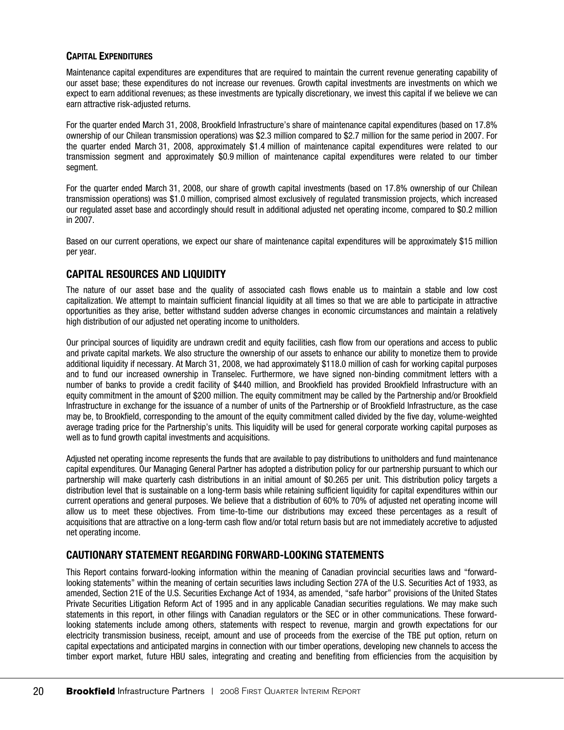### **CAPITAL EXPENDITURES**

Maintenance capital expenditures are expenditures that are required to maintain the current revenue generating capability of our asset base; these expenditures do not increase our revenues. Growth capital investments are investments on which we expect to earn additional revenues; as these investments are typically discretionary, we invest this capital if we believe we can earn attractive risk-adjusted returns.

For the quarter ended March 31, 2008, Brookfield Infrastructure's share of maintenance capital expenditures (based on 17.8% ownership of our Chilean transmission operations) was \$2.3 million compared to \$2.7 million for the same period in 2007. For the quarter ended March 31, 2008, approximately \$1.4 million of maintenance capital expenditures were related to our transmission segment and approximately \$0.9 million of maintenance capital expenditures were related to our timber segment.

For the quarter ended March 31, 2008, our share of growth capital investments (based on 17.8% ownership of our Chilean transmission operations) was \$1.0 million, comprised almost exclusively of regulated transmission projects, which increased our regulated asset base and accordingly should result in additional adjusted net operating income, compared to \$0.2 million in 2007.

Based on our current operations, we expect our share of maintenance capital expenditures will be approximately \$15 million per year.

# **CAPITAL RESOURCES AND LIQUIDITY**

The nature of our asset base and the quality of associated cash flows enable us to maintain a stable and low cost capitalization. We attempt to maintain sufficient financial liquidity at all times so that we are able to participate in attractive opportunities as they arise, better withstand sudden adverse changes in economic circumstances and maintain a relatively high distribution of our adjusted net operating income to unitholders.

Our principal sources of liquidity are undrawn credit and equity facilities, cash flow from our operations and access to public and private capital markets. We also structure the ownership of our assets to enhance our ability to monetize them to provide additional liquidity if necessary. At March 31, 2008, we had approximately \$118.0 million of cash for working capital purposes and to fund our increased ownership in Transelec. Furthermore, we have signed non-binding commitment letters with a number of banks to provide a credit facility of \$440 million, and Brookfield has provided Brookfield Infrastructure with an equity commitment in the amount of \$200 million. The equity commitment may be called by the Partnership and/or Brookfield Infrastructure in exchange for the issuance of a number of units of the Partnership or of Brookfield Infrastructure, as the case may be, to Brookfield, corresponding to the amount of the equity commitment called divided by the five day, volume-weighted average trading price for the Partnership's units. This liquidity will be used for general corporate working capital purposes as well as to fund growth capital investments and acquisitions.

Adjusted net operating income represents the funds that are available to pay distributions to unitholders and fund maintenance capital expenditures. Our Managing General Partner has adopted a distribution policy for our partnership pursuant to which our partnership will make quarterly cash distributions in an initial amount of \$0.265 per unit. This distribution policy targets a distribution level that is sustainable on a long-term basis while retaining sufficient liquidity for capital expenditures within our current operations and general purposes. We believe that a distribution of 60% to 70% of adjusted net operating income will allow us to meet these objectives. From time-to-time our distributions may exceed these percentages as a result of acquisitions that are attractive on a long-term cash flow and/or total return basis but are not immediately accretive to adjusted net operating income.

## **CAUTIONARY STATEMENT REGARDING FORWARD-LOOKING STATEMENTS**

This Report contains forward-looking information within the meaning of Canadian provincial securities laws and "forwardlooking statements" within the meaning of certain securities laws including Section 27A of the U.S. Securities Act of 1933, as amended, Section 21E of the U.S. Securities Exchange Act of 1934, as amended, "safe harbor" provisions of the United States Private Securities Litigation Reform Act of 1995 and in any applicable Canadian securities regulations. We may make such statements in this report, in other filings with Canadian regulators or the SEC or in other communications. These forwardlooking statements include among others, statements with respect to revenue, margin and growth expectations for our electricity transmission business, receipt, amount and use of proceeds from the exercise of the TBE put option, return on capital expectations and anticipated margins in connection with our timber operations, developing new channels to access the timber export market, future HBU sales, integrating and creating and benefiting from efficiencies from the acquisition by